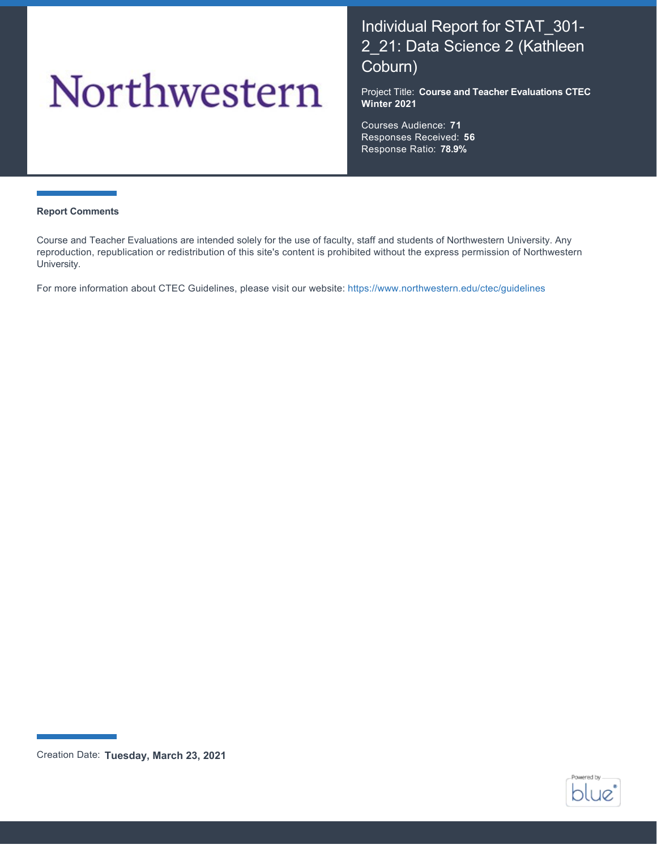# Northwestern

# Individual Report for STAT\_301- 2\_21: Data Science 2 (Kathleen Coburn)

Project Title: **Course and Teacher Evaluations CTEC Winter 2021**

Courses Audience: **71** Responses Received: **56** Response Ratio: **78.9%**

#### **Report Comments**

Course and Teacher Evaluations are intended solely for the use of faculty, staff and students of Northwestern University. Any reproduction, republication or redistribution of this site's content is prohibited without the express permission of Northwestern University.

For more information about CTEC Guidelines, please visit our website:<https://www.northwestern.edu/ctec/guidelines>



Creation Date: **Tuesday, March 23, 2021**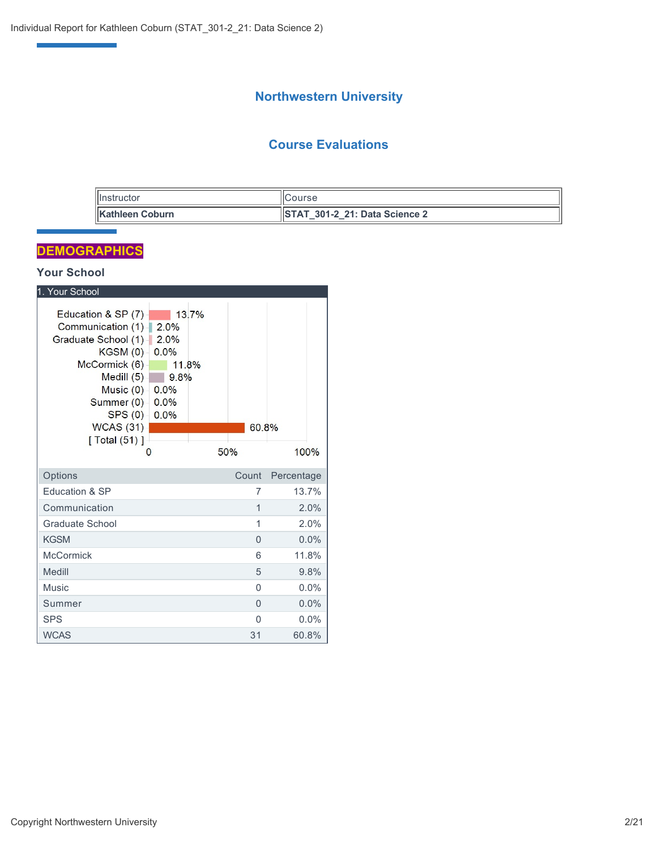## **Northwestern University**

## **Course Evaluations**

| <b>Ilnstructor</b>      | <b>ICourse</b>                        |
|-------------------------|---------------------------------------|
| <b>IKathleen Coburn</b> | <b>ISTAT 301-2 21: Data Science 2</b> |

## **DEMOGRAPHICS**

e<br>Vite<br>Vite

## **Your School**

| 1. Your School                                                                                                                                                                             |                                                                        |              |            |
|--------------------------------------------------------------------------------------------------------------------------------------------------------------------------------------------|------------------------------------------------------------------------|--------------|------------|
| Education & SP (7)<br>Communication (1)-<br>Graduate School (1)<br>KGSM(0)<br>McCormick (6)<br>Medill $(5)$<br>Music $(0)$ -<br>Summer (0) -<br>SPS(0)<br>WCAS (31)<br>[ Total (51) ]<br>O | 13 7%<br>2.0%<br>2.0%<br>0.0%<br>11.8%<br>9.8%<br>0.0%<br>0.0%<br>0.0% | 60.8%<br>50% | 100%       |
|                                                                                                                                                                                            |                                                                        |              |            |
| Options                                                                                                                                                                                    |                                                                        | Count        | Percentage |
| Education & SP                                                                                                                                                                             |                                                                        | 7            | 13.7%      |
| Communication                                                                                                                                                                              |                                                                        | $\mathbf{1}$ | 2.0%       |
| Graduate School                                                                                                                                                                            |                                                                        | 1            | 2.0%       |
| <b>KGSM</b>                                                                                                                                                                                |                                                                        | $\Omega$     | 0.0%       |
| <b>McCormick</b>                                                                                                                                                                           |                                                                        | 6            | 11.8%      |
| Medill                                                                                                                                                                                     |                                                                        | 5            | 9.8%       |
| Music                                                                                                                                                                                      |                                                                        | 0            | $0.0\%$    |
| Summer                                                                                                                                                                                     |                                                                        | $\Omega$     | 0.0%       |
| <b>SPS</b>                                                                                                                                                                                 |                                                                        | 0            | $0.0\%$    |
| <b>WCAS</b>                                                                                                                                                                                |                                                                        | 31           | 60.8%      |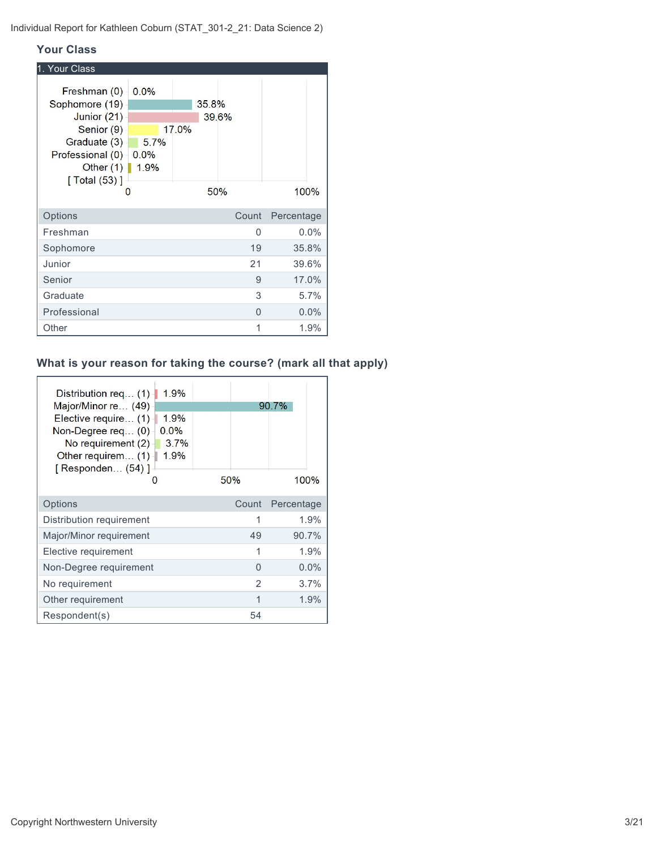#### **Your Class**

| 1. Your Class                                                                                                                                                      |              |       |                |            |
|--------------------------------------------------------------------------------------------------------------------------------------------------------------------|--------------|-------|----------------|------------|
| Freshman (0)<br>Sophomore (19)<br>Junior (21)<br>Senior (9)<br>Graduate (3)<br>Professional $(0)$ $-$ 0.0%<br>Other $(1)$   1.9%<br>$\sqrt{$ Total (53) $\sqrt{ }$ | 0.0%<br>5.7% | 17.0% | 35.8%<br>39.6% |            |
| O                                                                                                                                                                  |              |       | 50%            | 100%       |
| Options                                                                                                                                                            |              |       | Count          | Percentage |
| Freshman                                                                                                                                                           |              |       |                | 0.0%<br>0  |
| Sophomore                                                                                                                                                          |              |       | 19             | 35.8%      |
| Junior                                                                                                                                                             |              |       | 21             | 39.6%      |
| Senior                                                                                                                                                             |              |       |                | 17.0%<br>9 |
| Graduate                                                                                                                                                           |              |       |                | 3<br>5.7%  |
| Professional                                                                                                                                                       |              |       |                | 0.0%<br>0  |
| Other                                                                                                                                                              |              |       |                | 1<br>1.9%  |

## **What is your reason for taking the course? (mark all that apply)**

| 1.9%<br>Distribution req $(1)$<br>Major/Minor re (49)<br>Elective require (1)<br>1.9%<br>0.0%<br>Non-Degree req $(0)$<br>3.7%<br>No requirement (2)<br>1.9%<br>Other requirem $(1)$<br>[ Responden (54) ]<br>O | 50%            | 90.7%<br>100% |
|----------------------------------------------------------------------------------------------------------------------------------------------------------------------------------------------------------------|----------------|---------------|
| Options                                                                                                                                                                                                        | Count          | Percentage    |
| Distribution requirement                                                                                                                                                                                       | 1              | 1.9%          |
| Major/Minor requirement                                                                                                                                                                                        | 49             | 90.7%         |
| Elective requirement                                                                                                                                                                                           | 1              | 1.9%          |
| Non-Degree requirement                                                                                                                                                                                         | $\Omega$       | $0.0\%$       |
| No requirement                                                                                                                                                                                                 | $\mathfrak{D}$ | 3.7%          |
| Other requirement                                                                                                                                                                                              | 1              | 1.9%          |
| Respondent(s)                                                                                                                                                                                                  | 54             |               |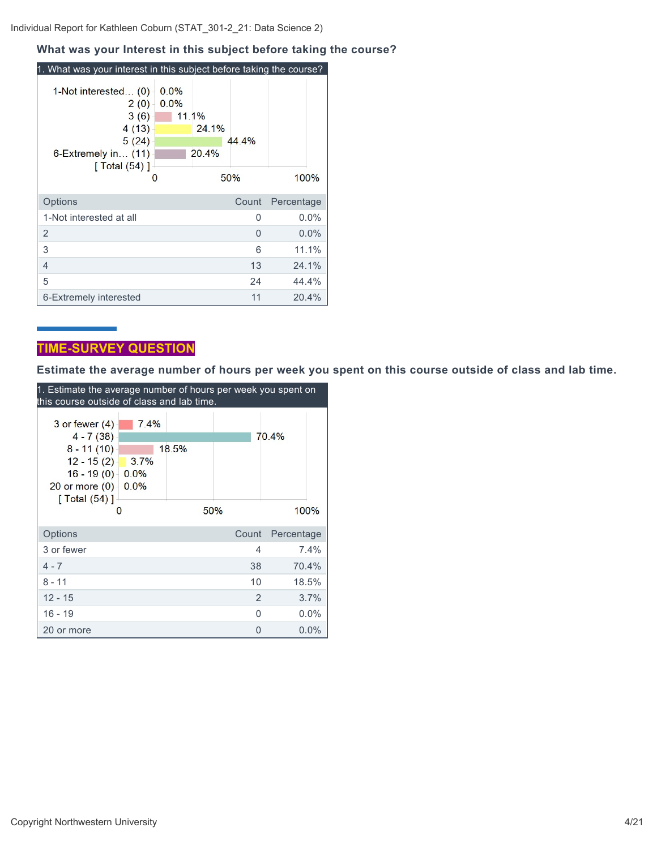Individual Report for Kathleen Coburn (STAT\_301-2\_21: Data Science 2)

#### **What was your Interest in this subject before taking the course?**

| 1. What was your interest in this subject before taking the course?                                           |                       |                |              |            |
|---------------------------------------------------------------------------------------------------------------|-----------------------|----------------|--------------|------------|
| 1-Not interested (0)<br>2(0)<br>3(6)<br>4(13)<br>5(24)<br>6-Extremely in (11)<br>[ Total $(54)$ ]<br>$\Omega$ | 0.0%<br>0.0%<br>11.1% | 24.1%<br>20.4% | 44.4%<br>50% | 100%       |
|                                                                                                               |                       |                |              |            |
| Options                                                                                                       |                       |                | Count        | Percentage |
| 1-Not interested at all                                                                                       |                       |                | 0            | 0.0%       |
| 2                                                                                                             |                       |                | O            | $0.0\%$    |
| 3                                                                                                             |                       |                | 6            | 11.1%      |
| 4                                                                                                             |                       |                | 13           | 24.1%      |
| 5                                                                                                             |                       |                | 24           | 44.4%      |
| 6-Extremely interested                                                                                        |                       |                | 11           | 20.4%      |

## **TIME-SURVEY QUESTION**

**Estimate the average number of hours per week you spent on this course outside of class and lab time.**

| 1. Estimate the average number of hours per week you spent on<br>this course outside of class and lab time. |      |       |          |            |  |
|-------------------------------------------------------------------------------------------------------------|------|-------|----------|------------|--|
|                                                                                                             |      |       |          |            |  |
| 3 or fewer $(4)$                                                                                            | 7.4% |       |          |            |  |
| $4 - 7(38)$                                                                                                 |      |       |          | 70.4%      |  |
| $8 - 11(10)$                                                                                                |      | 18.5% |          |            |  |
| $12 - 15(2)$                                                                                                | 3.7% |       |          |            |  |
| $16 - 19(0)$                                                                                                | 0.0% |       |          |            |  |
| 20 or more $(0)$                                                                                            | 0.0% |       |          |            |  |
| $\lceil$ Total $(54)$ ]                                                                                     |      |       |          |            |  |
| O                                                                                                           |      |       | 50%      | 100%       |  |
| Options                                                                                                     |      |       | Count    | Percentage |  |
| 3 or fewer                                                                                                  |      |       | 4        | 7.4%       |  |
| $4 - 7$                                                                                                     |      |       | 38       | 70.4%      |  |
| $8 - 11$                                                                                                    |      |       | 10       | 18.5%      |  |
| $12 - 15$                                                                                                   |      |       | 2        | 3.7%       |  |
| 16 - 19                                                                                                     |      |       | O        | $0.0\%$    |  |
| 20 or more                                                                                                  |      |       | $\Omega$ | $0.0\%$    |  |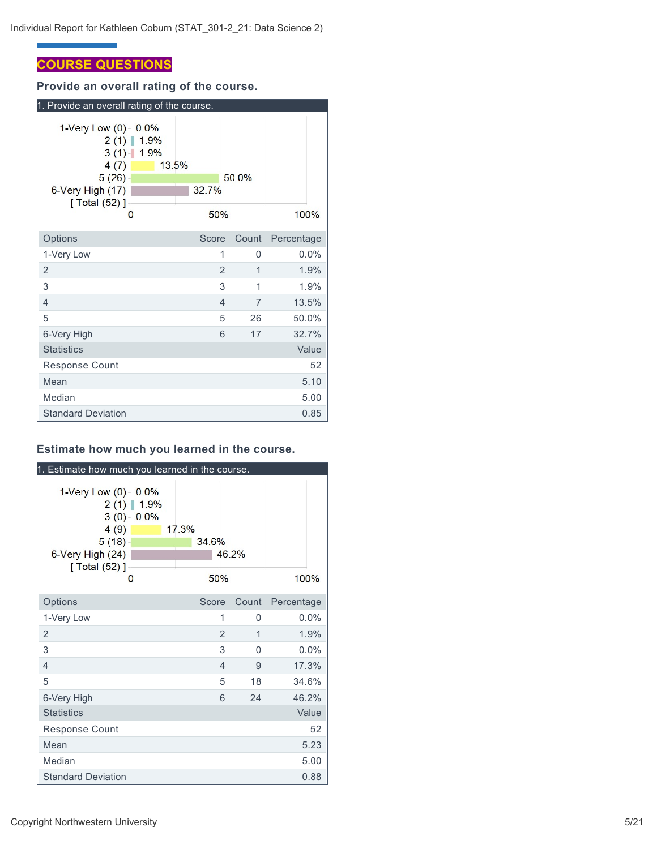## **COURSE QUESTIONS**

**Provide an overall rating of the course.**

| 1. Provide an overall rating of the course.                                                                                  |                |                |            |
|------------------------------------------------------------------------------------------------------------------------------|----------------|----------------|------------|
| 1-Very Low $(0)$<br>0.0%<br>1.9%<br>2(1)<br>$3(1)$ 1.9%<br>4(7)<br>13.5%<br>5(26)<br>6-Very High (17)<br>[ Total (52) ]<br>О | 32.7%<br>50%   | 50.0%          | 100%       |
| Options                                                                                                                      | Score          | Count          | Percentage |
| 1-Very Low                                                                                                                   | 1              | 0              | 0.0%       |
| $\overline{2}$                                                                                                               | $\overline{2}$ | 1              | 1.9%       |
| 3                                                                                                                            | 3              | 1              | 1.9%       |
| 4                                                                                                                            | 4              | $\overline{7}$ | 13.5%      |
| 5                                                                                                                            | 5              | 26             | 50.0%      |
| 6-Very High                                                                                                                  | 6              | 17             | 32.7%      |
| <b>Statistics</b>                                                                                                            |                |                | Value      |
| <b>Response Count</b>                                                                                                        |                |                | 52         |
| Mean                                                                                                                         |                |                | 5.10       |
| Median                                                                                                                       |                |                | 5.00       |
| <b>Standard Deviation</b>                                                                                                    |                |                | 0.85       |

## **Estimate how much you learned in the course.**

| 1. Estimate how much you learned in the course.                                             |                           |       |                |          |            |
|---------------------------------------------------------------------------------------------|---------------------------|-------|----------------|----------|------------|
| 1-Very Low $(0)$<br>2(1)<br>$3(0) -$<br>4(9)<br>5(18)<br>6-Very High (24)<br>[ Total (52) ] | 0.0%<br>1.9%<br>0.0%<br>O | 17.3% | 34.6%<br>50%   | 46.2%    | 100%       |
| Options                                                                                     |                           |       | Score          | Count    | Percentage |
| 1-Very Low                                                                                  |                           |       | 1              | 0        | 0.0%       |
| $\overline{2}$                                                                              |                           |       | $\overline{2}$ | 1        | 1.9%       |
| 3                                                                                           |                           |       | 3              | $\Omega$ | 0.0%       |
| $\overline{4}$                                                                              |                           |       | $\overline{4}$ | 9        | 17.3%      |
| 5                                                                                           |                           |       | 5              | 18       | 34.6%      |
| 6-Very High                                                                                 |                           |       | 6              | 24       | 46.2%      |
| <b>Statistics</b>                                                                           |                           |       |                |          | Value      |
| Response Count                                                                              |                           |       |                |          | 52         |
| Mean                                                                                        |                           |       |                |          | 5.23       |
| Median                                                                                      |                           |       |                |          | 5.00       |
| <b>Standard Deviation</b>                                                                   |                           |       |                |          | 0.88       |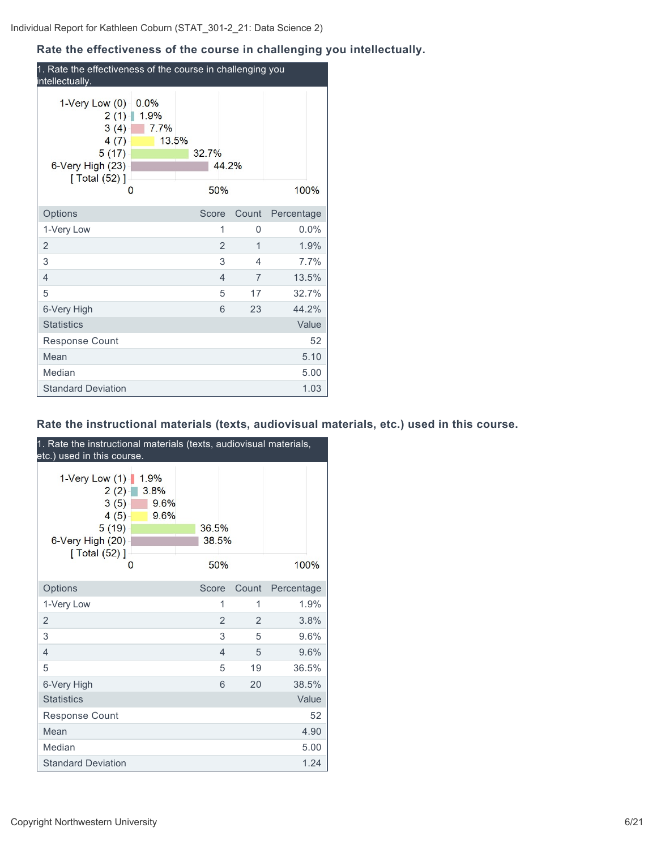## **Rate the effectiveness of the course in challenging you intellectually.**

| 1. Rate the effectiveness of the course in challenging you<br>intellectually.                                                 |                       |                          |            |  |
|-------------------------------------------------------------------------------------------------------------------------------|-----------------------|--------------------------|------------|--|
| 1-Very Low $(0)$<br>0.0%<br>1.9%<br>2(1)<br>7.7%<br>3(4)<br>13.5%<br>4(7)<br>5(17)<br>6-Very High (23)<br>[ Total (52) ]<br>0 | 32.7%<br>44.2%<br>50% |                          | 100%       |  |
| Options                                                                                                                       | Score                 | Count                    | Percentage |  |
| 1-Very Low                                                                                                                    | 1                     | 0                        | 0.0%       |  |
| $\overline{2}$                                                                                                                | 2                     | 1                        | 1.9%       |  |
| 3                                                                                                                             | 3                     | $\overline{\mathcal{A}}$ | 7.7%       |  |
| $\overline{4}$                                                                                                                | $\overline{4}$        | $\overline{7}$           | 13.5%      |  |
| 5                                                                                                                             | 5                     | 17                       | 32.7%      |  |
| 6-Very High                                                                                                                   | 6                     | 23                       | 44.2%      |  |
| <b>Statistics</b>                                                                                                             |                       |                          | Value      |  |
| <b>Response Count</b>                                                                                                         |                       |                          | 52         |  |
| Mean                                                                                                                          |                       |                          | 5.10       |  |
| Median                                                                                                                        |                       |                          | 5.00       |  |
| <b>Standard Deviation</b>                                                                                                     |                       |                          | 1.03       |  |

## **Rate the instructional materials (texts, audiovisual materials, etc.) used in this course.**

| 1. Rate the instructional materials (texts, audiovisual materials,<br>etc.) used in this course. |                              |                |                                  |            |
|--------------------------------------------------------------------------------------------------|------------------------------|----------------|----------------------------------|------------|
| 1-Very Low $(1)$<br>2(2)<br>3(5)<br>4(5)<br>5(19)<br>6-Very High (20)<br>[ Total (52) ]          | 1.9%<br>3.8%<br>9.6%<br>9.6% | 36.5%<br>38.5% |                                  |            |
| 0                                                                                                |                              | 50%            |                                  | 100%       |
| Options                                                                                          |                              | Score          | Count                            | Percentage |
| 1-Very Low                                                                                       |                              |                | 1<br>1                           | 1.9%       |
| $\overline{2}$                                                                                   |                              |                | $\overline{2}$<br>$\overline{2}$ | 3.8%       |
| 3                                                                                                |                              |                | 3<br>5                           | 9.6%       |
| $\overline{4}$                                                                                   |                              |                | $\overline{4}$<br>5              | 9.6%       |
| 5                                                                                                |                              |                | 5<br>19                          | 36.5%      |
| 6-Very High                                                                                      |                              |                | 6<br>20                          | 38.5%      |
| <b>Statistics</b>                                                                                |                              |                |                                  | Value      |
| <b>Response Count</b>                                                                            |                              |                |                                  | 52         |
| Mean                                                                                             |                              |                |                                  | 4.90       |
| Median                                                                                           |                              |                |                                  | 5.00       |
| <b>Standard Deviation</b>                                                                        |                              |                |                                  | 1.24       |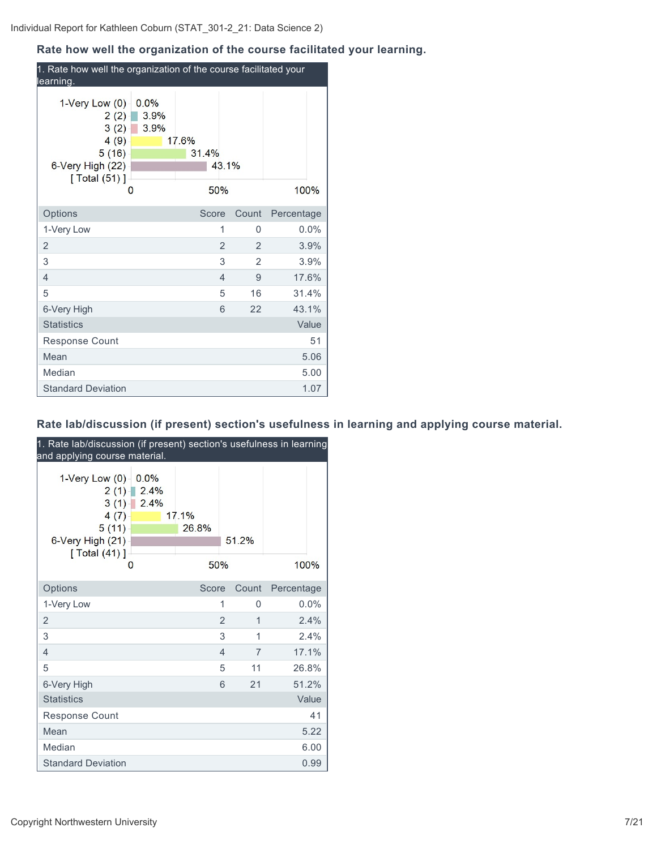## **Rate how well the organization of the course facilitated your learning.**

| 1. Rate how well the organization of the course facilitated your<br>learning.                         |                           |                       |                |       |            |       |
|-------------------------------------------------------------------------------------------------------|---------------------------|-----------------------|----------------|-------|------------|-------|
| 1-Very Low $(0)$<br>2(2)<br>3(2)<br>4(9)<br>5(16)<br>6-Very High (22)<br>$\lceil$ Total (51) $\rceil$ | 0.0%<br>3.9%<br>3.9%<br>0 | 17.6%<br>31.4%<br>50% | 43.1%          |       | 100%       |       |
| Options                                                                                               |                           | Score                 |                | Count | Percentage |       |
| 1-Very Low                                                                                            |                           |                       | 1              | 0     |            | 0.0%  |
| $\overline{2}$                                                                                        |                           |                       | $\overline{2}$ | 2     |            | 3.9%  |
| 3                                                                                                     |                           |                       | 3              | 2     |            | 3.9%  |
| 4                                                                                                     |                           |                       | $\overline{4}$ | 9     |            | 17.6% |
| 5                                                                                                     |                           |                       | 5              | 16    |            | 31.4% |
| 6-Very High                                                                                           |                           |                       | 6              | 22    |            | 43.1% |
| <b>Statistics</b>                                                                                     |                           |                       |                |       |            | Value |
| Response Count                                                                                        |                           |                       |                |       |            | 51    |
| Mean                                                                                                  |                           |                       |                |       |            | 5.06  |
| Median                                                                                                |                           |                       |                |       |            | 5.00  |
| <b>Standard Deviation</b>                                                                             |                           |                       |                |       |            | 1.07  |

## **Rate lab/discussion (if present) section's usefulness in learning and applying course material.**

| 1. Rate lab/discussion (if present) section's usefulness in learning<br>and applying course material. |                                               |                |                         |
|-------------------------------------------------------------------------------------------------------|-----------------------------------------------|----------------|-------------------------|
| 1-Very Low (0)<br>2(1)<br>3(1)<br>4(7)<br>5(11)<br>6-Very High (21)<br>[ Total $(41)$ ]<br>O          | 0.0%<br>2.4%<br>2.4%<br>17.1%<br>26.8%<br>50% | 51.2%          | 100%                    |
| Options                                                                                               | Score                                         | Count          | Percentage              |
| 1-Very Low                                                                                            |                                               | 1              | 0.0%<br>$\Omega$        |
| $\overline{2}$                                                                                        |                                               | $\overline{2}$ | 1<br>2.4%               |
| 3                                                                                                     |                                               | 3              | 1<br>2.4%               |
| $\overline{4}$                                                                                        |                                               | $\overline{4}$ | 17.1%<br>$\overline{7}$ |
| 5                                                                                                     |                                               | 5              | 26.8%<br>11             |
| 6-Very High                                                                                           |                                               | 6              | 51.2%<br>21             |
| <b>Statistics</b>                                                                                     |                                               |                | Value                   |
| <b>Response Count</b>                                                                                 |                                               |                | 41                      |
| Mean                                                                                                  |                                               |                | 5.22                    |
| Median                                                                                                |                                               |                | 6.00                    |
| <b>Standard Deviation</b>                                                                             |                                               |                | 0.99                    |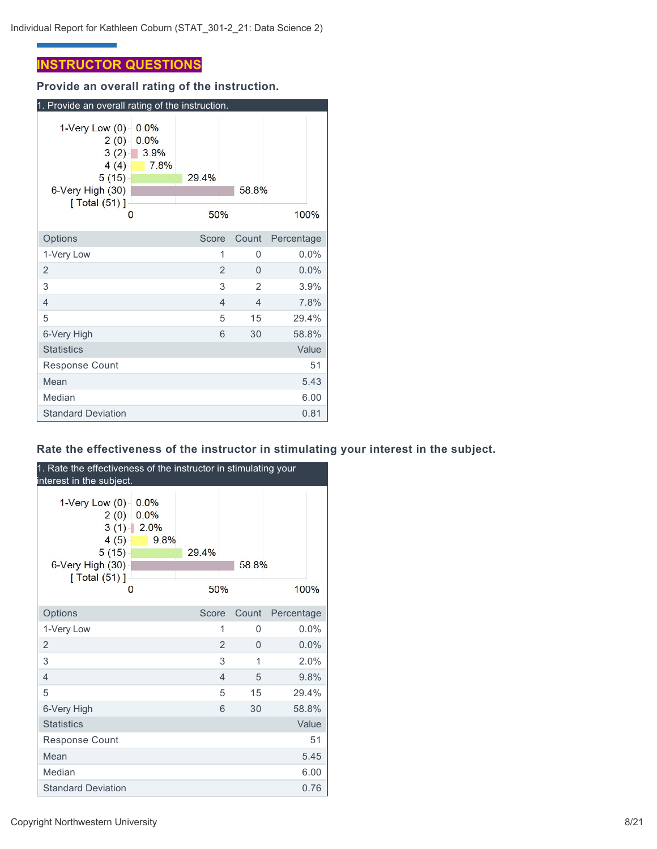## **INSTRUCTOR QUESTIONS**

**Provide an overall rating of the instruction.**

| 1. Provide an overall rating of the instruction.                                                                   |                              |              |                |                |            |         |
|--------------------------------------------------------------------------------------------------------------------|------------------------------|--------------|----------------|----------------|------------|---------|
| 1-Very Low (0)<br>$2(0) -$<br>$3(2) -$<br>4(4)<br>5(15)<br>6-Very High (30)<br>$\sqrt{$ Total (51) $\sqrt{ }$<br>0 | 0.0%<br>0.0%<br>3.9%<br>7.8% | 29.4%<br>50% |                | 58.8%          | 100%       |         |
| Options                                                                                                            |                              | Score        |                | Count          | Percentage |         |
| 1-Very Low                                                                                                         |                              |              | 1              | 0              |            | $0.0\%$ |
| 2                                                                                                                  |                              |              | $\overline{2}$ | 0              |            | 0.0%    |
| 3                                                                                                                  |                              |              | 3              | $\overline{2}$ |            | 3.9%    |
| 4                                                                                                                  |                              |              | $\overline{4}$ | 4              |            | 7.8%    |
| 5                                                                                                                  |                              |              | 5              | 15             | 29.4%      |         |
| 6-Very High                                                                                                        |                              |              | 6              | 30             | 58.8%      |         |
| <b>Statistics</b>                                                                                                  |                              |              |                |                |            | Value   |
| <b>Response Count</b>                                                                                              |                              |              |                |                |            | 51      |
| Mean                                                                                                               |                              |              |                |                |            | 5.43    |
| Median                                                                                                             |                              |              |                |                |            | 6.00    |
| <b>Standard Deviation</b>                                                                                          |                              |              |                |                |            | 0.81    |

## **Rate the effectiveness of the instructor in stimulating your interest in the subject.**

| 1. Rate the effectiveness of the instructor in stimulating your<br>interest in the subject.                        |                              |              |                |       |            |       |
|--------------------------------------------------------------------------------------------------------------------|------------------------------|--------------|----------------|-------|------------|-------|
| 1-Very Low (0)<br>$2(0) -$<br>$3(1) -$<br>4(5)<br>5(15)<br>6-Very High (30)<br>$\sqrt{$ Total (51) $\sqrt{ }$<br>0 | 0.0%<br>0.0%<br>2.0%<br>9.8% | 29.4%<br>50% |                | 58.8% | 100%       |       |
| Options                                                                                                            |                              | Score        |                | Count | Percentage |       |
| 1-Very Low                                                                                                         |                              |              | 1              | 0     |            | 0.0%  |
| $\overline{2}$                                                                                                     |                              |              | $\overline{2}$ | 0     |            | 0.0%  |
| 3                                                                                                                  |                              |              | 3              | 1     |            | 2.0%  |
| $\overline{4}$                                                                                                     |                              |              | $\overline{4}$ | 5     |            | 9.8%  |
| 5                                                                                                                  |                              |              | 5              | 15    | 29.4%      |       |
| 6-Very High                                                                                                        |                              |              | 6              | 30    | 58.8%      |       |
| <b>Statistics</b>                                                                                                  |                              |              |                |       |            | Value |
| Response Count                                                                                                     |                              |              |                |       |            | 51    |
| Mean                                                                                                               |                              |              |                |       |            | 5.45  |
| Median                                                                                                             |                              |              |                |       |            | 6.00  |
| <b>Standard Deviation</b>                                                                                          |                              |              |                |       |            | 0.76  |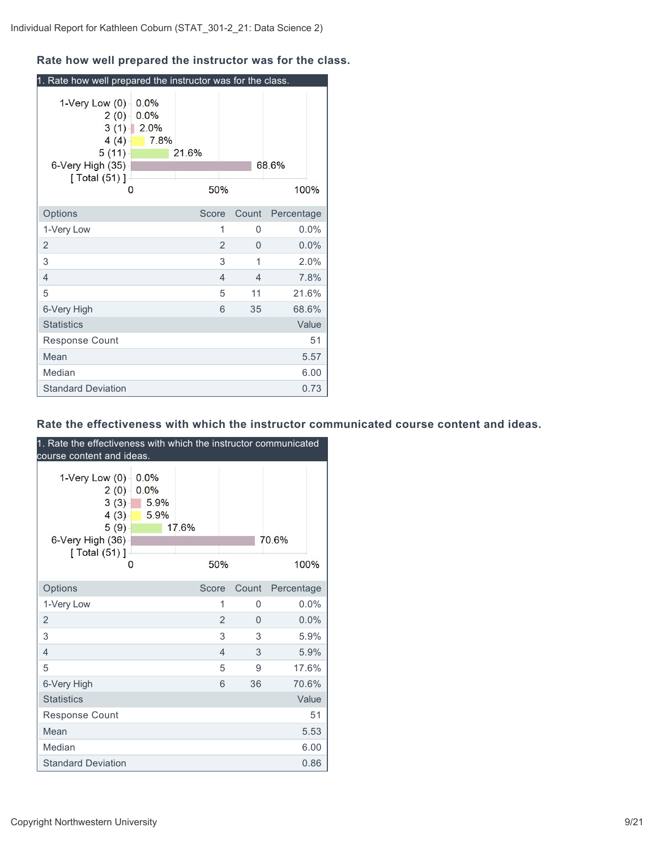## **Rate how well prepared the instructor was for the class.**

| 1. Rate how well prepared the instructor was for the class.                     |                                          |              |                |                |            |         |
|---------------------------------------------------------------------------------|------------------------------------------|--------------|----------------|----------------|------------|---------|
| 1-Very Low $(0)$<br>2(0)<br>4(4)<br>5(11)<br>6-Very High (35)<br>[ Total (51) ] | 0.0%<br>0.0%<br>$3(1)$ 2.0%<br>7.8%<br>0 | 21.6%<br>50% |                |                | 68.6%      | 100%    |
| Options                                                                         |                                          | Score        |                | Count          | Percentage |         |
| 1-Very Low                                                                      |                                          |              | 1              | 0              |            | $0.0\%$ |
| $\overline{2}$                                                                  |                                          |              | $\overline{2}$ | 0              |            | 0.0%    |
| 3                                                                               |                                          |              | 3              | 1              |            | 2.0%    |
| $\overline{4}$                                                                  |                                          |              | $\overline{4}$ | $\overline{4}$ |            | 7.8%    |
| 5                                                                               |                                          |              | 5              | 11             |            | 21.6%   |
| 6-Very High                                                                     |                                          |              | 6              | 35             |            | 68.6%   |
| <b>Statistics</b>                                                               |                                          |              |                |                |            | Value   |
| Response Count                                                                  |                                          |              |                |                |            | 51      |
| Mean                                                                            |                                          |              |                |                |            | 5.57    |
| Median                                                                          |                                          |              |                |                |            | 6.00    |
| <b>Standard Deviation</b>                                                       |                                          |              |                |                |            | 0.73    |

#### **Rate the effectiveness with which the instructor communicated course content and ideas.**

| 1. Rate the effectiveness with which the instructor communicated<br>course content and ideas.   |                              |              |                |       |               |
|-------------------------------------------------------------------------------------------------|------------------------------|--------------|----------------|-------|---------------|
| 1-Very Low $(0)$<br>2(0)<br>3(3)<br>$4(3) -$<br>5(9)<br>6-Very High (36)<br>[ Total (51) ]<br>0 | 0.0%<br>0.0%<br>5.9%<br>5.9% | 17.6%<br>50% |                |       | 70.6%<br>100% |
| Options                                                                                         |                              | Score        |                | Count | Percentage    |
| 1-Very Low                                                                                      |                              |              | 1              | 0     | 0.0%          |
| $\overline{2}$                                                                                  |                              |              | $\overline{2}$ | 0     | 0.0%          |
| 3                                                                                               |                              |              | 3              | 3     | 5.9%          |
| $\overline{4}$                                                                                  |                              |              | $\overline{4}$ | 3     | 5.9%          |
| 5                                                                                               |                              |              | 5              | 9     | 17.6%         |
| 6-Very High                                                                                     |                              |              | 6              | 36    | 70.6%         |
| <b>Statistics</b>                                                                               |                              |              |                |       | Value         |
| Response Count                                                                                  |                              |              |                |       | 51            |
| Mean                                                                                            |                              |              |                |       | 5.53          |
| Median                                                                                          |                              |              |                |       | 6.00          |
| <b>Standard Deviation</b>                                                                       |                              |              |                |       | 0.86          |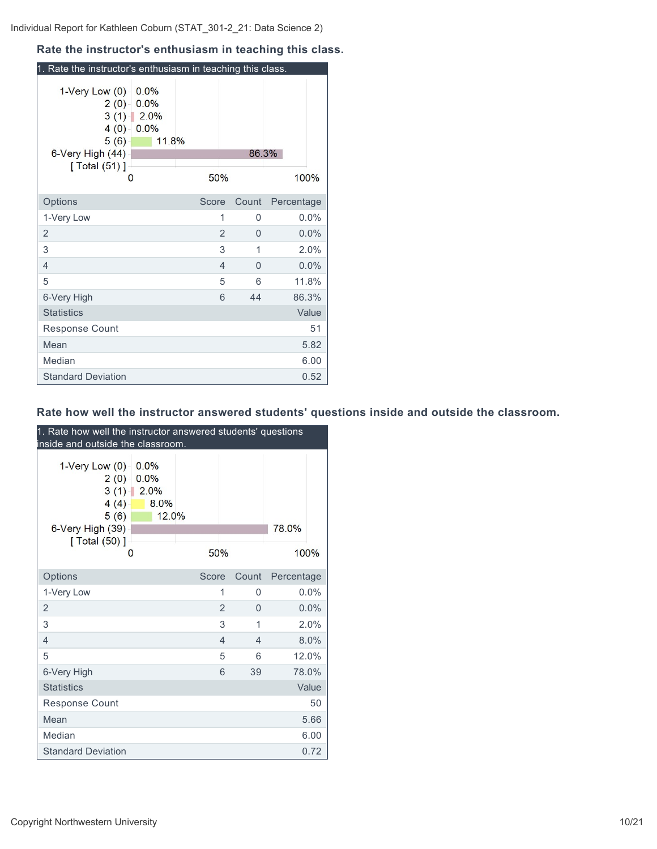#### **Rate the instructor's enthusiasm in teaching this class.**

| 1. Rate the instructor's enthusiasm in teaching this class.                                 |                                       |       |       |            |
|---------------------------------------------------------------------------------------------|---------------------------------------|-------|-------|------------|
| 1-Very Low (0)<br>$2(0) -$<br>3(1)<br>4(0)<br>5(6)<br>6-Very High (44)<br>[Total (51)]<br>0 | 0.0%<br>0.0%<br>2.0%<br>0.0%<br>11.8% | 50%   | 86.3% | 100%       |
| Options                                                                                     |                                       | Score | Count | Percentage |
| 1-Very Low                                                                                  |                                       | 1     | 0     | $0.0\%$    |
| 2                                                                                           |                                       | 2     | 0     | 0.0%       |
| 3                                                                                           |                                       | 3     | 1     | 2.0%       |
| 4                                                                                           |                                       | 4     | 0     | 0.0%       |
| 5                                                                                           |                                       | 5     | 6     | 11.8%      |
| 6-Very High                                                                                 |                                       | 6     | 44    | 86.3%      |
| <b>Statistics</b>                                                                           |                                       |       |       | Value      |
| <b>Response Count</b>                                                                       |                                       |       |       | 51         |
| Mean                                                                                        |                                       |       |       | 5.82       |
| Median                                                                                      |                                       |       |       | 6.00       |
| <b>Standard Deviation</b>                                                                   |                                       |       |       | 0.52       |

## **Rate how well the instructor answered students' questions inside and outside the classroom.**

| 1. Rate how well the instructor answered students' questions<br>inside and outside the classroom. |                                            |       |     |                |            |       |
|---------------------------------------------------------------------------------------------------|--------------------------------------------|-------|-----|----------------|------------|-------|
| 1-Very Low (0)<br>2(0)<br>3(1)<br>4(4)<br>5(6)<br>6-Very High (39)<br>[ Total (50) ]              | 0.0%<br>0.0%<br>2.0%<br>8.0%<br>12.0%<br>0 |       | 50% |                | 78.0%      | 100%  |
| Options                                                                                           |                                            | Score |     | Count          | Percentage |       |
| 1-Very Low                                                                                        |                                            |       | 1   | 0              |            | 0.0%  |
| 2                                                                                                 |                                            |       | 2   | $\Omega$       |            | 0.0%  |
| 3                                                                                                 |                                            |       | 3   | 1              |            | 2.0%  |
| $\overline{4}$                                                                                    |                                            |       | 4   | $\overline{4}$ |            | 8.0%  |
| 5                                                                                                 |                                            |       | 5   | 6              |            | 12.0% |
| 6-Very High                                                                                       |                                            |       | 6   | 39             |            | 78.0% |
| <b>Statistics</b>                                                                                 |                                            |       |     |                |            | Value |
| <b>Response Count</b>                                                                             |                                            |       |     |                |            | 50    |
| Mean                                                                                              |                                            |       |     |                |            | 5.66  |
| Median                                                                                            |                                            |       |     |                |            | 6.00  |
| <b>Standard Deviation</b>                                                                         |                                            |       |     |                |            | 0.72  |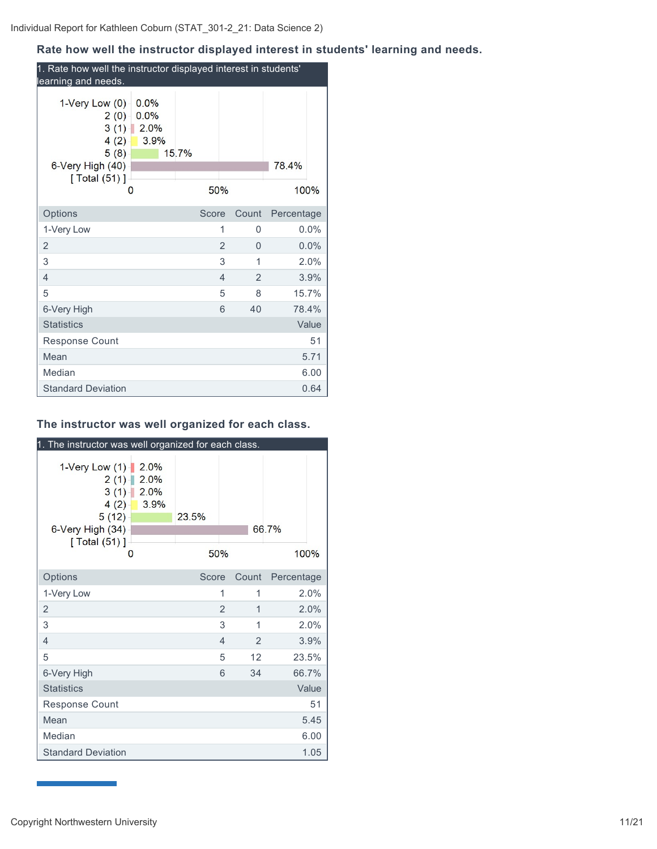## **Rate how well the instructor displayed interest in students' learning and needs.**

| 1. Rate how well the instructor displayed interest in students'<br>learning and needs.                                            |              |                     |            |       |
|-----------------------------------------------------------------------------------------------------------------------------------|--------------|---------------------|------------|-------|
| $1$ -Very Low $(0)$<br>0.0%<br>0.0%<br>2(0)<br>$3(1)$ 2.0%<br>$4(2) -$<br>3.9%<br>5(8)<br>6-Very High (40)<br>[ Total (51) ]<br>0 | 15.7%<br>50% |                     | 78.4%      | 100%  |
| Options                                                                                                                           | Score        | Count               | Percentage |       |
| 1-Very Low                                                                                                                        |              | 1<br>0              |            | 0.0%  |
| 2                                                                                                                                 |              | $\overline{2}$<br>0 |            | 0.0%  |
| 3                                                                                                                                 |              | 3<br>1              |            | 2.0%  |
| 4                                                                                                                                 |              | $\overline{2}$<br>4 |            | 3.9%  |
| 5                                                                                                                                 |              | 5<br>8              |            | 15.7% |
| 6-Very High                                                                                                                       |              | 6<br>40             |            | 78.4% |
| <b>Statistics</b>                                                                                                                 |              |                     |            | Value |
| <b>Response Count</b>                                                                                                             |              |                     |            | 51    |
| Mean                                                                                                                              |              |                     |            | 5.71  |
| Median                                                                                                                            |              |                     |            | 6.00  |
| <b>Standard Deviation</b>                                                                                                         |              |                     |            | 0.64  |

### **The instructor was well organized for each class.**

| 1. The instructor was well organized for each class.                                  |                                   |              |                |                |               |
|---------------------------------------------------------------------------------------|-----------------------------------|--------------|----------------|----------------|---------------|
| 1-Very Low (1)<br>2(1)<br>3(1)<br>4(2)<br>5(12)<br>6-Very High (34)<br>[ Total (51) ] | 2.0%<br>2.0%<br>2.0%<br>3.9%<br>0 | 23.5%<br>50% |                |                | 66.7%<br>100% |
| Options                                                                               |                                   | Score        |                | Count          | Percentage    |
| 1-Very Low                                                                            |                                   |              | 1              | 1              | 2.0%          |
| 2                                                                                     |                                   |              | $\overline{2}$ | 1              | 2.0%          |
| 3                                                                                     |                                   |              | 3              | 1              | 2.0%          |
| $\overline{4}$                                                                        |                                   |              | $\overline{4}$ | $\overline{2}$ | 3.9%          |
| 5                                                                                     |                                   |              | 5              | 12             | 23.5%         |
| 6-Very High                                                                           |                                   |              | 6              | 34             | 66.7%         |
| <b>Statistics</b>                                                                     |                                   |              |                |                | Value         |
| <b>Response Count</b>                                                                 |                                   |              |                |                | 51            |
| Mean                                                                                  |                                   |              |                |                | 5.45          |
| Median                                                                                |                                   |              |                |                | 6.00          |
| <b>Standard Deviation</b>                                                             |                                   |              |                |                | 1.05          |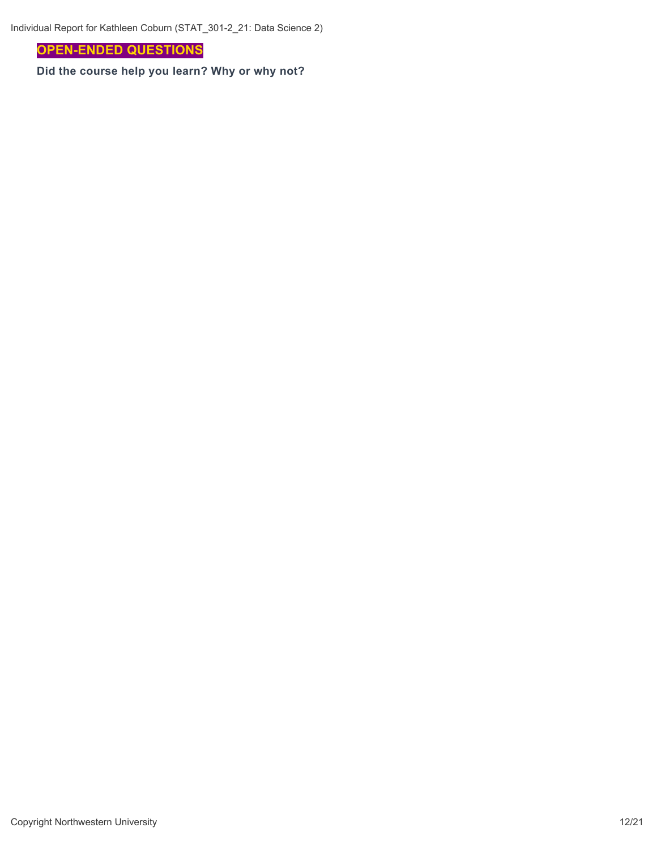**OPEN-ENDED QUESTIONS**

**Did the course help you learn? Why or why not?**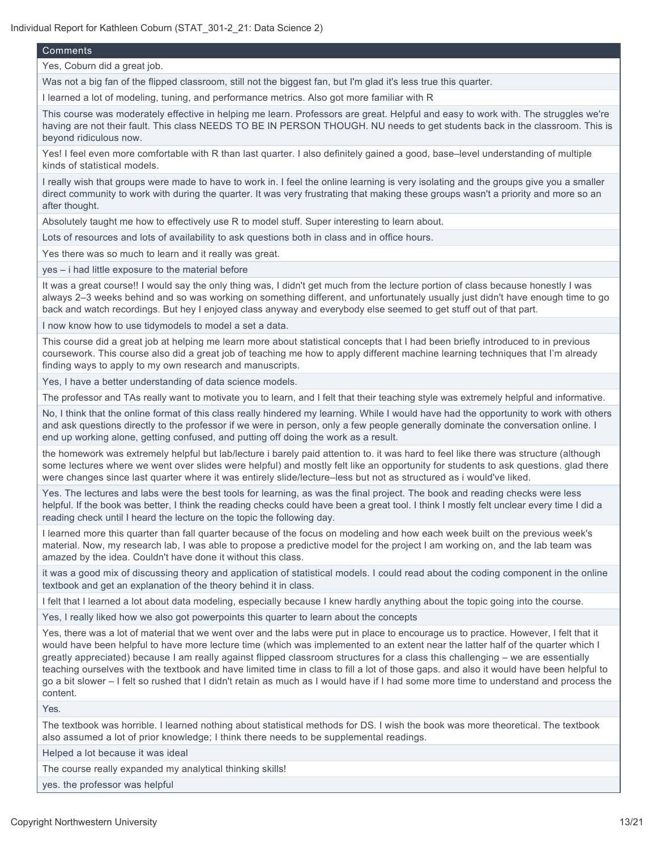#### **Comments**

Yes, Coburn did a great job.

Was not a big fan of the flipped classroom, still not the biggest fan, but I'm glad it's less true this quarter.

I learned a lot of modeling, tuning, and performance metrics. Also got more familiar with R

This course was moderately effective in helping me learn. Professors are great. Helpful and easy to work with. The struggles we're having are not their fault. This class NEEDS TO BE IN PERSON THOUGH. NU needs to get students back in the classroom. This is beyond ridiculous now.

Yes! I feel even more comfortable with R than last quarter. I also definitely gained a good, base–level understanding of multiple kinds of statistical models.

I really wish that groups were made to have to work in. I feel the online learning is very isolating and the groups give you a smaller direct community to work with during the quarter. It was very frustrating that making these groups wasn't a priority and more so an after thought.

Absolutely taught me how to effectively use R to model stuff. Super interesting to learn about.

Lots of resources and lots of availability to ask questions both in class and in office hours.

Yes there was so much to learn and it really was great.

yes – i had little exposure to the material before

It was a great course!! I would say the only thing was, I didn't get much from the lecture portion of class because honestly I was always 2–3 weeks behind and so was working on something different, and unfortunately usually just didn't have enough time to go back and watch recordings. But hey I enjoyed class anyway and everybody else seemed to get stuff out of that part.

I now know how to use tidymodels to model a set a data.

This course did a great job at helping me learn more about statistical concepts that I had been briefly introduced to in previous coursework. This course also did a great job of teaching me how to apply different machine learning techniques that I'm already finding ways to apply to my own research and manuscripts.

Yes, I have a better understanding of data science models.

The professor and TAs really want to motivate you to learn, and I felt that their teaching style was extremely helpful and informative.

No, I think that the online format of this class really hindered my learning. While I would have had the opportunity to work with others and ask questions directly to the professor if we were in person, only a few people generally dominate the conversation online. I end up working alone, getting confused, and putting off doing the work as a result.

the homework was extremely helpful but lab/lecture i barely paid attention to. it was hard to feel like there was structure (although some lectures where we went over slides were helpful) and mostly felt like an opportunity for students to ask questions. glad there were changes since last quarter where it was entirely slide/lecture–less but not as structured as i would've liked.

Yes. The lectures and labs were the best tools for learning, as was the final project. The book and reading checks were less helpful. If the book was better, I think the reading checks could have been a great tool. I think I mostly felt unclear every time I did a reading check until I heard the lecture on the topic the following day.

I learned more this quarter than fall quarter because of the focus on modeling and how each week built on the previous week's material. Now, my research lab, I was able to propose a predictive model for the project I am working on, and the lab team was amazed by the idea. Couldn't have done it without this class.

it was a good mix of discussing theory and application of statistical models. I could read about the coding component in the online textbook and get an explanation of the theory behind it in class.

I felt that I learned a lot about data modeling, especially because I knew hardly anything about the topic going into the course.

Yes, I really liked how we also got powerpoints this quarter to learn about the concepts

Yes, there was a lot of material that we went over and the labs were put in place to encourage us to practice. However, I felt that it would have been helpful to have more lecture time (which was implemented to an extent near the latter half of the quarter which I greatly appreciated) because I am really against flipped classroom structures for a class this challenging – we are essentially teaching ourselves with the textbook and have limited time in class to fill a lot of those gaps. and also it would have been helpful to go a bit slower – I felt so rushed that I didn't retain as much as I would have if I had some more time to understand and process the content.

Yes.

The textbook was horrible. I learned nothing about statistical methods for DS. I wish the book was more theoretical. The textbook also assumed a lot of prior knowledge; I think there needs to be supplemental readings.

Helped a lot because it was ideal

The course really expanded my analytical thinking skills!

yes. the professor was helpful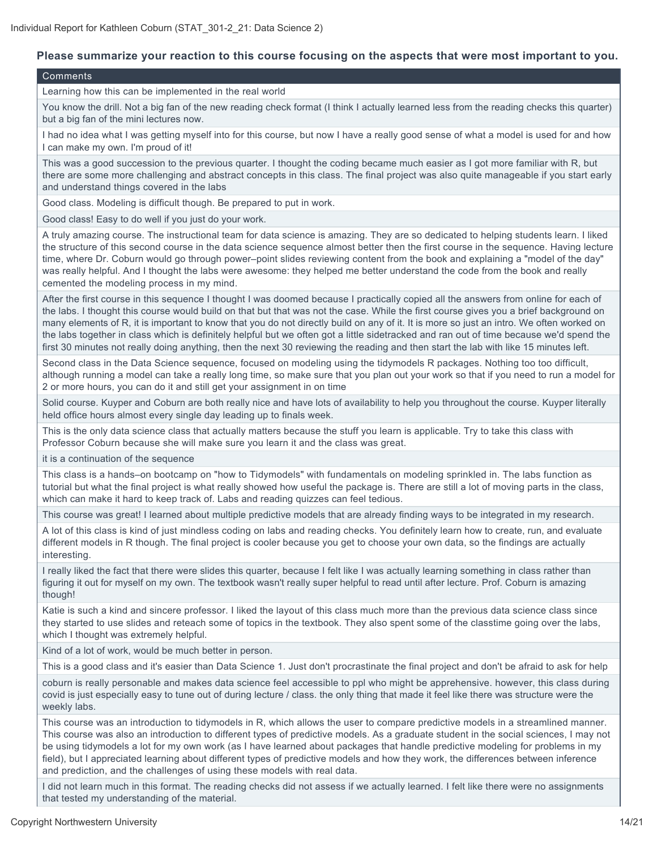#### **Please summarize your reaction to this course focusing on the aspects that were most important to you.**

#### Comments

Learning how this can be implemented in the real world

You know the drill. Not a big fan of the new reading check format (I think I actually learned less from the reading checks this quarter) but a big fan of the mini lectures now.

I had no idea what I was getting myself into for this course, but now I have a really good sense of what a model is used for and how I can make my own. I'm proud of it!

This was a good succession to the previous quarter. I thought the coding became much easier as I got more familiar with R, but there are some more challenging and abstract concepts in this class. The final project was also quite manageable if you start early and understand things covered in the labs

Good class. Modeling is difficult though. Be prepared to put in work.

Good class! Easy to do well if you just do your work.

A truly amazing course. The instructional team for data science is amazing. They are so dedicated to helping students learn. I liked the structure of this second course in the data science sequence almost better then the first course in the sequence. Having lecture time, where Dr. Coburn would go through power–point slides reviewing content from the book and explaining a "model of the day" was really helpful. And I thought the labs were awesome: they helped me better understand the code from the book and really cemented the modeling process in my mind.

After the first course in this sequence I thought I was doomed because I practically copied all the answers from online for each of the labs. I thought this course would build on that but that was not the case. While the first course gives you a brief background on many elements of R, it is important to know that you do not directly build on any of it. It is more so just an intro. We often worked on the labs together in class which is definitely helpful but we often got a little sidetracked and ran out of time because we'd spend the first 30 minutes not really doing anything, then the next 30 reviewing the reading and then start the lab with like 15 minutes left.

Second class in the Data Science sequence, focused on modeling using the tidymodels R packages. Nothing too too difficult, although running a model can take a really long time, so make sure that you plan out your work so that if you need to run a model for 2 or more hours, you can do it and still get your assignment in on time

Solid course. Kuyper and Coburn are both really nice and have lots of availability to help you throughout the course. Kuyper literally held office hours almost every single day leading up to finals week.

This is the only data science class that actually matters because the stuff you learn is applicable. Try to take this class with Professor Coburn because she will make sure you learn it and the class was great.

it is a continuation of the sequence

This class is a hands–on bootcamp on "how to Tidymodels" with fundamentals on modeling sprinkled in. The labs function as tutorial but what the final project is what really showed how useful the package is. There are still a lot of moving parts in the class, which can make it hard to keep track of. Labs and reading quizzes can feel tedious.

This course was great! I learned about multiple predictive models that are already finding ways to be integrated in my research.

A lot of this class is kind of just mindless coding on labs and reading checks. You definitely learn how to create, run, and evaluate different models in R though. The final project is cooler because you get to choose your own data, so the findings are actually interesting.

I really liked the fact that there were slides this quarter, because I felt like I was actually learning something in class rather than figuring it out for myself on my own. The textbook wasn't really super helpful to read until after lecture. Prof. Coburn is amazing though!

Katie is such a kind and sincere professor. I liked the layout of this class much more than the previous data science class since they started to use slides and reteach some of topics in the textbook. They also spent some of the classtime going over the labs, which I thought was extremely helpful.

Kind of a lot of work, would be much better in person.

This is a good class and it's easier than Data Science 1. Just don't procrastinate the final project and don't be afraid to ask for help

coburn is really personable and makes data science feel accessible to ppl who might be apprehensive. however, this class during covid is just especially easy to tune out of during lecture / class. the only thing that made it feel like there was structure were the weekly labs.

This course was an introduction to tidymodels in R, which allows the user to compare predictive models in a streamlined manner. This course was also an introduction to different types of predictive models. As a graduate student in the social sciences, I may not be using tidymodels a lot for my own work (as I have learned about packages that handle predictive modeling for problems in my field), but I appreciated learning about different types of predictive models and how they work, the differences between inference and prediction, and the challenges of using these models with real data.

I did not learn much in this format. The reading checks did not assess if we actually learned. I felt like there were no assignments that tested my understanding of the material.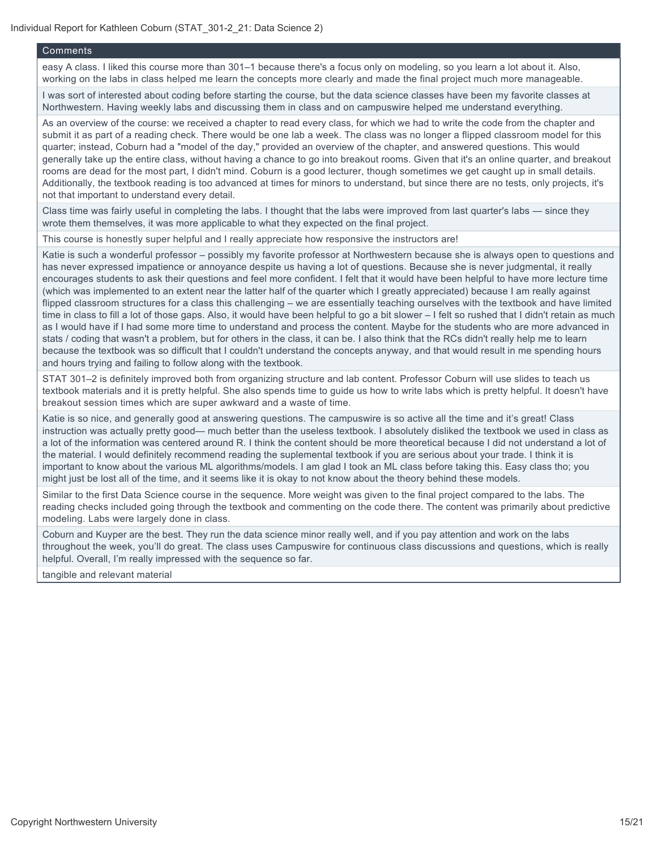#### Comments

easy A class. I liked this course more than 301–1 because there's a focus only on modeling, so you learn a lot about it. Also, working on the labs in class helped me learn the concepts more clearly and made the final project much more manageable.

I was sort of interested about coding before starting the course, but the data science classes have been my favorite classes at Northwestern. Having weekly labs and discussing them in class and on campuswire helped me understand everything.

As an overview of the course: we received a chapter to read every class, for which we had to write the code from the chapter and submit it as part of a reading check. There would be one lab a week. The class was no longer a flipped classroom model for this quarter; instead, Coburn had a "model of the day," provided an overview of the chapter, and answered questions. This would generally take up the entire class, without having a chance to go into breakout rooms. Given that it's an online quarter, and breakout rooms are dead for the most part, I didn't mind. Coburn is a good lecturer, though sometimes we get caught up in small details. Additionally, the textbook reading is too advanced at times for minors to understand, but since there are no tests, only projects, it's not that important to understand every detail.

Class time was fairly useful in completing the labs. I thought that the labs were improved from last quarter's labs — since they wrote them themselves, it was more applicable to what they expected on the final project.

This course is honestly super helpful and I really appreciate how responsive the instructors are!

Katie is such a wonderful professor – possibly my favorite professor at Northwestern because she is always open to questions and has never expressed impatience or annoyance despite us having a lot of questions. Because she is never judgmental, it really encourages students to ask their questions and feel more confident. I felt that it would have been helpful to have more lecture time (which was implemented to an extent near the latter half of the quarter which I greatly appreciated) because I am really against flipped classroom structures for a class this challenging – we are essentially teaching ourselves with the textbook and have limited time in class to fill a lot of those gaps. Also, it would have been helpful to go a bit slower – I felt so rushed that I didn't retain as much as I would have if I had some more time to understand and process the content. Maybe for the students who are more advanced in stats / coding that wasn't a problem, but for others in the class, it can be. I also think that the RCs didn't really help me to learn because the textbook was so difficult that I couldn't understand the concepts anyway, and that would result in me spending hours and hours trying and failing to follow along with the textbook.

STAT 301–2 is definitely improved both from organizing structure and lab content. Professor Coburn will use slides to teach us textbook materials and it is pretty helpful. She also spends time to guide us how to write labs which is pretty helpful. It doesn't have breakout session times which are super awkward and a waste of time.

Katie is so nice, and generally good at answering questions. The campuswire is so active all the time and it's great! Class instruction was actually pretty good— much better than the useless textbook. I absolutely disliked the textbook we used in class as a lot of the information was centered around R. I think the content should be more theoretical because I did not understand a lot of the material. I would definitely recommend reading the suplemental textbook if you are serious about your trade. I think it is important to know about the various ML algorithms/models. I am glad I took an ML class before taking this. Easy class tho; you might just be lost all of the time, and it seems like it is okay to not know about the theory behind these models.

Similar to the first Data Science course in the sequence. More weight was given to the final project compared to the labs. The reading checks included going through the textbook and commenting on the code there. The content was primarily about predictive modeling. Labs were largely done in class.

Coburn and Kuyper are the best. They run the data science minor really well, and if you pay attention and work on the labs throughout the week, you'll do great. The class uses Campuswire for continuous class discussions and questions, which is really helpful. Overall, I'm really impressed with the sequence so far.

tangible and relevant material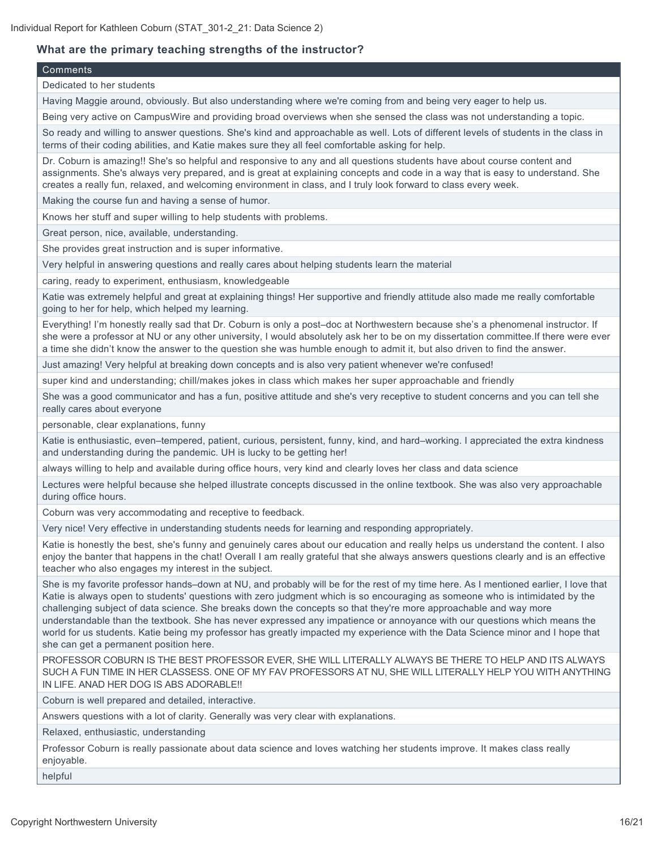## **What are the primary teaching strengths of the instructor?**

#### **Comments**

Dedicated to her students

Having Maggie around, obviously. But also understanding where we're coming from and being very eager to help us.

Being very active on CampusWire and providing broad overviews when she sensed the class was not understanding a topic.

So ready and willing to answer questions. She's kind and approachable as well. Lots of different levels of students in the class in terms of their coding abilities, and Katie makes sure they all feel comfortable asking for help.

Dr. Coburn is amazing!! She's so helpful and responsive to any and all questions students have about course content and assignments. She's always very prepared, and is great at explaining concepts and code in a way that is easy to understand. She creates a really fun, relaxed, and welcoming environment in class, and I truly look forward to class every week.

Making the course fun and having a sense of humor.

Knows her stuff and super willing to help students with problems.

Great person, nice, available, understanding.

She provides great instruction and is super informative.

Very helpful in answering questions and really cares about helping students learn the material

caring, ready to experiment, enthusiasm, knowledgeable

Katie was extremely helpful and great at explaining things! Her supportive and friendly attitude also made me really comfortable going to her for help, which helped my learning.

Everything! I'm honestly really sad that Dr. Coburn is only a post–doc at Northwestern because she's a phenomenal instructor. If she were a professor at NU or any other university, I would absolutely ask her to be on my dissertation committee.If there were ever a time she didn't know the answer to the question she was humble enough to admit it, but also driven to find the answer.

Just amazing! Very helpful at breaking down concepts and is also very patient whenever we're confused!

super kind and understanding; chill/makes jokes in class which makes her super approachable and friendly

She was a good communicator and has a fun, positive attitude and she's very receptive to student concerns and you can tell she really cares about everyone

personable, clear explanations, funny

Katie is enthusiastic, even–tempered, patient, curious, persistent, funny, kind, and hard–working. I appreciated the extra kindness and understanding during the pandemic. UH is lucky to be getting her!

always willing to help and available during office hours, very kind and clearly loves her class and data science

Lectures were helpful because she helped illustrate concepts discussed in the online textbook. She was also very approachable during office hours.

Coburn was very accommodating and receptive to feedback.

Very nice! Very effective in understanding students needs for learning and responding appropriately.

Katie is honestly the best, she's funny and genuinely cares about our education and really helps us understand the content. I also enjoy the banter that happens in the chat! Overall I am really grateful that she always answers questions clearly and is an effective teacher who also engages my interest in the subject.

She is my favorite professor hands–down at NU, and probably will be for the rest of my time here. As I mentioned earlier, I love that Katie is always open to students' questions with zero judgment which is so encouraging as someone who is intimidated by the challenging subject of data science. She breaks down the concepts so that they're more approachable and way more understandable than the textbook. She has never expressed any impatience or annoyance with our questions which means the world for us students. Katie being my professor has greatly impacted my experience with the Data Science minor and I hope that she can get a permanent position here.

PROFESSOR COBURN IS THE BEST PROFESSOR EVER, SHE WILL LITERALLY ALWAYS BE THERE TO HELP AND ITS ALWAYS SUCH A FUN TIME IN HER CLASSESS. ONE OF MY FAV PROFESSORS AT NU, SHE WILL LITERALLY HELP YOU WITH ANYTHING IN LIFE. ANAD HER DOG IS ABS ADORABLE!!

Coburn is well prepared and detailed, interactive.

Answers questions with a lot of clarity. Generally was very clear with explanations.

Relaxed, enthusiastic, understanding

Professor Coburn is really passionate about data science and loves watching her students improve. It makes class really enjoyable.

helpful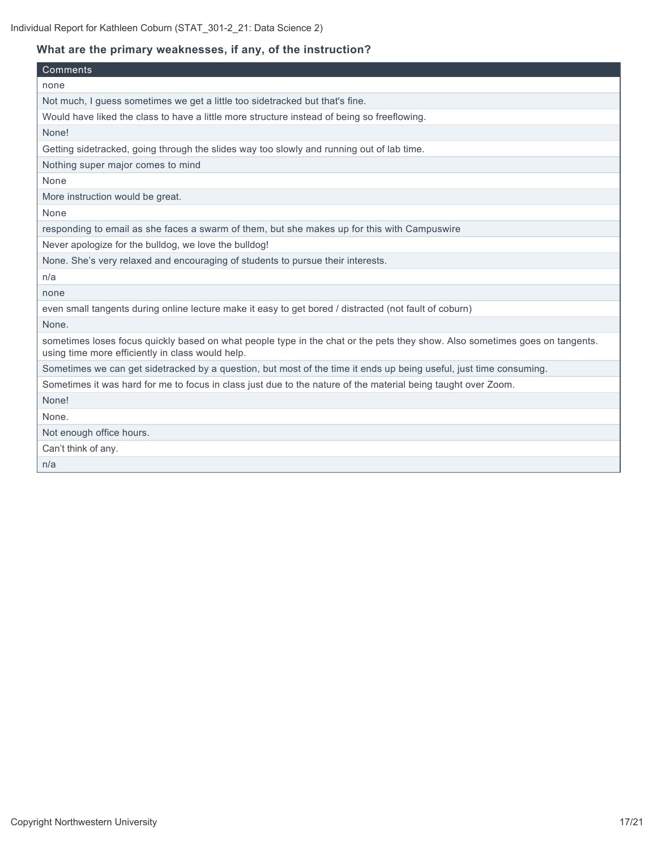## **What are the primary weaknesses, if any, of the instruction?**

| Comments                                                                                                                                                                        |
|---------------------------------------------------------------------------------------------------------------------------------------------------------------------------------|
| none                                                                                                                                                                            |
| Not much, I guess sometimes we get a little too sidetracked but that's fine.                                                                                                    |
| Would have liked the class to have a little more structure instead of being so freeflowing.                                                                                     |
| None!                                                                                                                                                                           |
| Getting sidetracked, going through the slides way too slowly and running out of lab time.                                                                                       |
| Nothing super major comes to mind                                                                                                                                               |
| None                                                                                                                                                                            |
| More instruction would be great.                                                                                                                                                |
| None                                                                                                                                                                            |
| responding to email as she faces a swarm of them, but she makes up for this with Campuswire                                                                                     |
| Never apologize for the bulldog, we love the bulldog!                                                                                                                           |
| None. She's very relaxed and encouraging of students to pursue their interests.                                                                                                 |
| n/a                                                                                                                                                                             |
| none                                                                                                                                                                            |
| even small tangents during online lecture make it easy to get bored / distracted (not fault of coburn)                                                                          |
| None.                                                                                                                                                                           |
| sometimes loses focus quickly based on what people type in the chat or the pets they show. Also sometimes goes on tangents.<br>using time more efficiently in class would help. |
| Sometimes we can get sidetracked by a question, but most of the time it ends up being useful, just time consuming.                                                              |
| Sometimes it was hard for me to focus in class just due to the nature of the material being taught over Zoom.                                                                   |
| None!                                                                                                                                                                           |
| None.                                                                                                                                                                           |
| Not enough office hours.                                                                                                                                                        |
| Can't think of any.                                                                                                                                                             |
| n/a                                                                                                                                                                             |
|                                                                                                                                                                                 |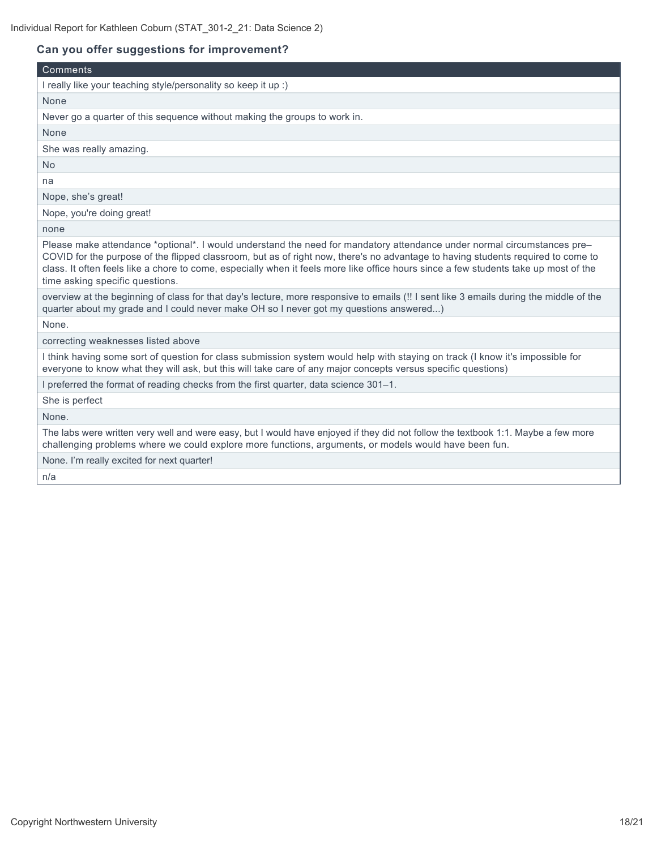## **Can you offer suggestions for improvement?**

| Comments                                                                                                                                                                                                                                                                                                                                                                                                                               |
|----------------------------------------------------------------------------------------------------------------------------------------------------------------------------------------------------------------------------------------------------------------------------------------------------------------------------------------------------------------------------------------------------------------------------------------|
| I really like your teaching style/personality so keep it up :)                                                                                                                                                                                                                                                                                                                                                                         |
| None                                                                                                                                                                                                                                                                                                                                                                                                                                   |
| Never go a quarter of this sequence without making the groups to work in.                                                                                                                                                                                                                                                                                                                                                              |
| None                                                                                                                                                                                                                                                                                                                                                                                                                                   |
| She was really amazing.                                                                                                                                                                                                                                                                                                                                                                                                                |
| <b>No</b>                                                                                                                                                                                                                                                                                                                                                                                                                              |
| na                                                                                                                                                                                                                                                                                                                                                                                                                                     |
| Nope, she's great!                                                                                                                                                                                                                                                                                                                                                                                                                     |
| Nope, you're doing great!                                                                                                                                                                                                                                                                                                                                                                                                              |
| none                                                                                                                                                                                                                                                                                                                                                                                                                                   |
| Please make attendance *optional*. I would understand the need for mandatory attendance under normal circumstances pre-<br>COVID for the purpose of the flipped classroom, but as of right now, there's no advantage to having students required to come to<br>class. It often feels like a chore to come, especially when it feels more like office hours since a few students take up most of the<br>time asking specific questions. |
| overview at the beginning of class for that day's lecture, more responsive to emails (!! I sent like 3 emails during the middle of the<br>quarter about my grade and I could never make OH so I never got my questions answered)                                                                                                                                                                                                       |
| None.                                                                                                                                                                                                                                                                                                                                                                                                                                  |
| correcting weaknesses listed above                                                                                                                                                                                                                                                                                                                                                                                                     |
| I think having some sort of question for class submission system would help with staying on track (I know it's impossible for<br>everyone to know what they will ask, but this will take care of any major concepts versus specific questions)                                                                                                                                                                                         |
| I preferred the format of reading checks from the first quarter, data science 301-1.                                                                                                                                                                                                                                                                                                                                                   |
| She is perfect                                                                                                                                                                                                                                                                                                                                                                                                                         |
| None.                                                                                                                                                                                                                                                                                                                                                                                                                                  |
| The labs were written very well and were easy, but I would have enjoyed if they did not follow the textbook 1:1. Maybe a few more<br>challenging problems where we could explore more functions, arguments, or models would have been fun.                                                                                                                                                                                             |
| None. I'm really excited for next quarter!                                                                                                                                                                                                                                                                                                                                                                                             |
| n/a                                                                                                                                                                                                                                                                                                                                                                                                                                    |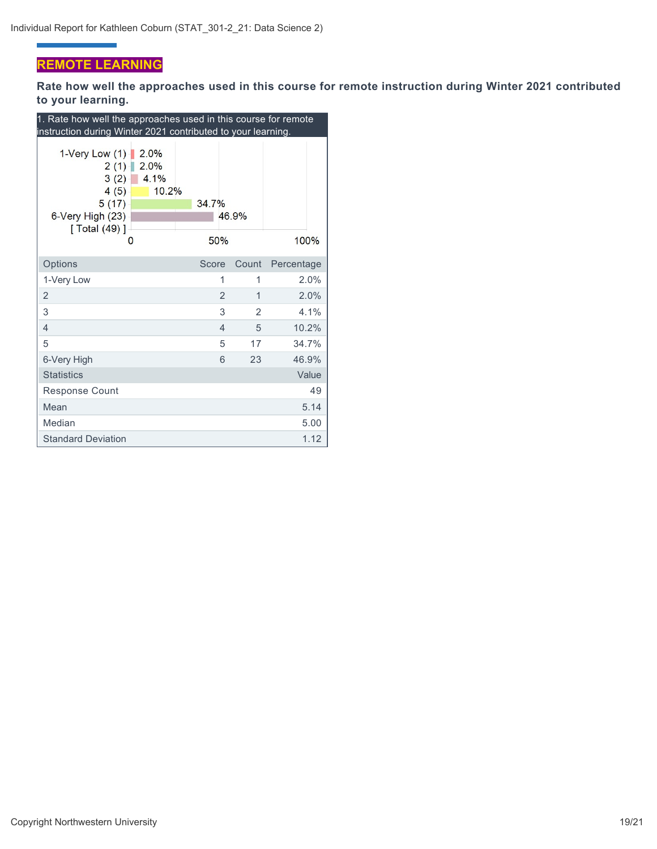## **REMOTE LEARNING**

ä,

**Rate how well the approaches used in this course for remote instruction during Winter 2021 contributed to your learning.**

| 1. Rate how well the approaches used in this course for remote<br>instruction during Winter 2021 contributed to your learning.  |                |       |            |  |  |
|---------------------------------------------------------------------------------------------------------------------------------|----------------|-------|------------|--|--|
| 2.0%<br>1-Very Low $(1)$<br>2.0%<br>2(1)<br>4.1%<br>3(2)<br>4(5)<br>10.2%<br>5(17)<br>6-Very High (23)<br>[ Total $(49)$ ]<br>O | 34.7%<br>50%   | 46.9% | 100%       |  |  |
| Options                                                                                                                         | Score          | Count | Percentage |  |  |
| 1-Very Low                                                                                                                      | 1              | 1     | 2.0%       |  |  |
| 2                                                                                                                               | $\overline{2}$ | 1     | 2.0%       |  |  |
| 3                                                                                                                               | 3              | 2     | 4.1%       |  |  |
| 4                                                                                                                               | $\overline{4}$ | 5     | 10.2%      |  |  |
| 5                                                                                                                               | 5              | 17    | 34.7%      |  |  |
| 6-Very High                                                                                                                     | 6              | 23    | 46.9%      |  |  |
| <b>Statistics</b>                                                                                                               |                |       | Value      |  |  |
| <b>Response Count</b>                                                                                                           |                |       | 49         |  |  |
| Mean                                                                                                                            |                |       | 5.14       |  |  |
| Median                                                                                                                          |                |       | 5.00       |  |  |
| <b>Standard Deviation</b>                                                                                                       |                |       | 1.12       |  |  |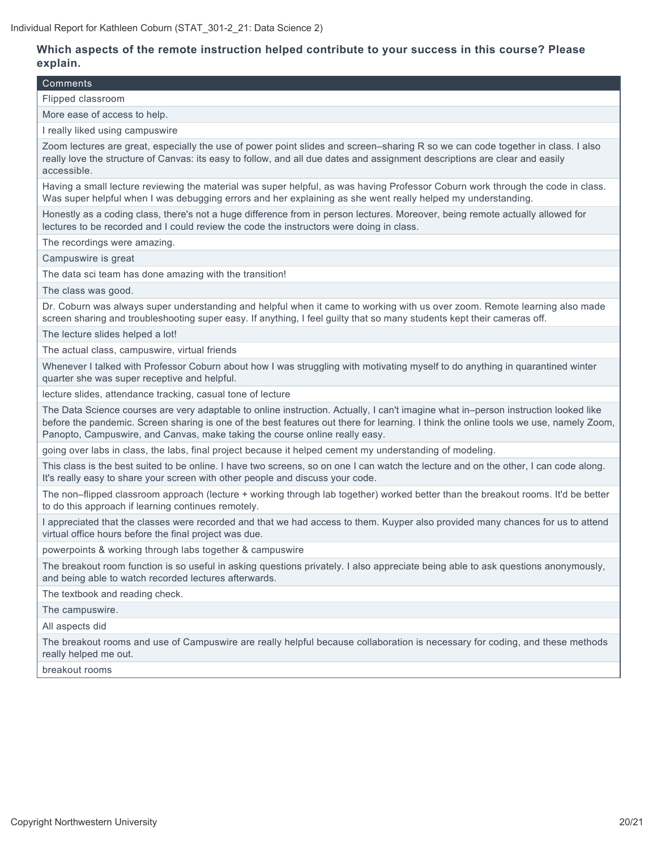#### **Which aspects of the remote instruction helped contribute to your success in this course? Please explain.**

#### Comments

Flipped classroom

More ease of access to help.

I really liked using campuswire

Zoom lectures are great, especially the use of power point slides and screen–sharing R so we can code together in class. I also really love the structure of Canvas: its easy to follow, and all due dates and assignment descriptions are clear and easily accessible.

Having a small lecture reviewing the material was super helpful, as was having Professor Coburn work through the code in class. Was super helpful when I was debugging errors and her explaining as she went really helped my understanding.

Honestly as a coding class, there's not a huge difference from in person lectures. Moreover, being remote actually allowed for lectures to be recorded and I could review the code the instructors were doing in class.

The recordings were amazing.

Campuswire is great

The data sci team has done amazing with the transition!

The class was good.

Dr. Coburn was always super understanding and helpful when it came to working with us over zoom. Remote learning also made screen sharing and troubleshooting super easy. If anything, I feel guilty that so many students kept their cameras off.

The lecture slides helped a lot!

The actual class, campuswire, virtual friends

Whenever I talked with Professor Coburn about how I was struggling with motivating myself to do anything in quarantined winter quarter she was super receptive and helpful.

lecture slides, attendance tracking, casual tone of lecture

The Data Science courses are very adaptable to online instruction. Actually, I can't imagine what in–person instruction looked like before the pandemic. Screen sharing is one of the best features out there for learning. I think the online tools we use, namely Zoom, Panopto, Campuswire, and Canvas, make taking the course online really easy.

going over labs in class, the labs, final project because it helped cement my understanding of modeling.

This class is the best suited to be online. I have two screens, so on one I can watch the lecture and on the other, I can code along. It's really easy to share your screen with other people and discuss your code.

The non–flipped classroom approach (lecture + working through lab together) worked better than the breakout rooms. It'd be better to do this approach if learning continues remotely.

I appreciated that the classes were recorded and that we had access to them. Kuyper also provided many chances for us to attend virtual office hours before the final project was due.

powerpoints & working through labs together & campuswire

The breakout room function is so useful in asking questions privately. I also appreciate being able to ask questions anonymously, and being able to watch recorded lectures afterwards.

The textbook and reading check.

The campuswire.

All aspects did

The breakout rooms and use of Campuswire are really helpful because collaboration is necessary for coding, and these methods really helped me out.

breakout rooms